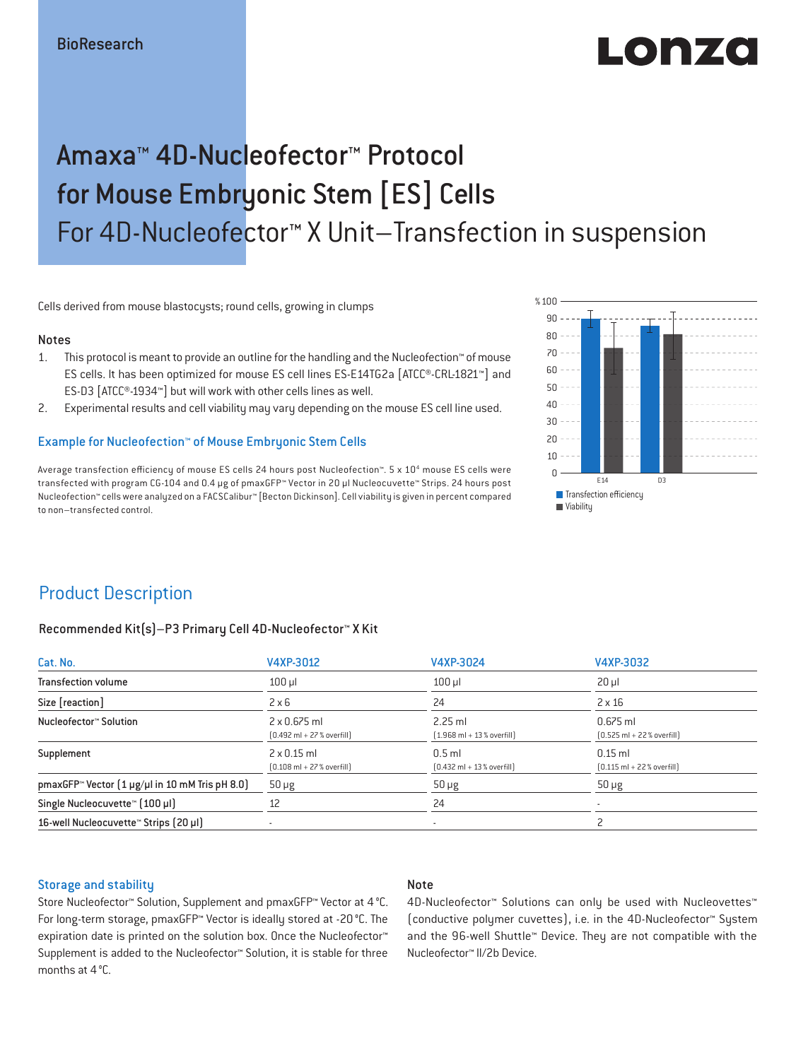# LODZ

## Amaxa™ 4D-Nucleofector™ Protocol for Mouse Embryonic Stem [ES] Cells For 4D-Nucleofector™ X Unit–Transfection in suspension

Cells derived from mouse blastocysts; round cells, growing in clumps

#### Notes

- 1. This protocol is meant to provide an outline for the handling and the Nucleofection™ of mouse ES cells. It has been optimized for mouse ES cell lines ES-E14TG2a [ATCC®-CRL-1821™] and ES-D3 [ATCC®-1934™] but will work with other cells lines as well.
- 2. Experimental results and cell viability may vary depending on the mouse ES cell line used.

#### Example for Nucleofection™ of Mouse Embryonic Stem Cells

Average transfection efficiency of mouse ES cells 24 hours post Nucleofection™. 5 x 10<sup>4</sup> mouse ES cells were transfected with program CG-104 and 0.4 μg of pmaxGFP™ Vector in 20 µl Nucleocuvette™ Strips. 24 hours post Nucleofection™ cells were analyzed on a FACSCalibur™ [Becton Dickinson]. Cell viability is given in percent compared to non–transfected control.



## Product Description

#### Recommended Kit(s)–P3 Primary Cell 4D-Nucleofector™ X Kit

| Cat. No.                                                          | V4XP-3012                                                           | V4XP-3024                                                | V4XP-3032                                                  |  |
|-------------------------------------------------------------------|---------------------------------------------------------------------|----------------------------------------------------------|------------------------------------------------------------|--|
| <b>Transfection volume</b>                                        | $100$ $\mu$                                                         | 100 ul                                                   | $20 \mu$                                                   |  |
| Size [reaction]                                                   | $2 \times 6$                                                        | 24                                                       | $2 \times 16$                                              |  |
| Nucleofector™ Solution                                            | $2 \times 0.675$ ml<br>$[0.492 \text{ ml} + 27 \text{ %} overfill]$ | $2.25$ ml<br>$[1.968 \text{ ml} + 13 % \text{overfill}]$ | $0.675$ ml<br>$[0.525 \text{ ml} + 22 \text{ % overfill}]$ |  |
| Supplement                                                        | $2 \times 0.15$ ml<br>$[0.108 \text{ ml} + 27 \text{ %} overfill]$  | $0.5$ ml<br>$[0.432 \text{ ml} + 13 \text{ %} overfill]$ | $0.15$ ml<br>$[0.115 \text{ ml} + 22 \text{ %} overfill]$  |  |
| pmaxGFP <sup>*</sup> Vector $(1 \mu g/\mu)$ in 10 mM Tris pH 8.0) | $50 \mu g$                                                          | $50 \mu g$                                               | $50 \mu g$                                                 |  |
| Single Nucleocuvette™ (100 µl)                                    | 12                                                                  | 24                                                       |                                                            |  |
| 16-well Nucleocuvette <sup>™</sup> Strips [20 µl]                 |                                                                     |                                                          |                                                            |  |

#### Storage and stability

#### Note

Store Nucleofector™ Solution, Supplement and pmaxGFP™ Vector at 4 °C. For long-term storage, pmaxGFP™ Vector is ideally stored at -20 °C. The expiration date is printed on the solution box. Once the Nucleofector™ Supplement is added to the Nucleofector™ Solution, it is stable for three months at 4 °C.

4D-Nucleofector™ Solutions can only be used with Nucleovettes™ (conductive polymer cuvettes), i.e. in the 4D-Nucleofector™ System and the 96-well Shuttle™ Device. They are not compatible with the Nucleofector™ II/2b Device.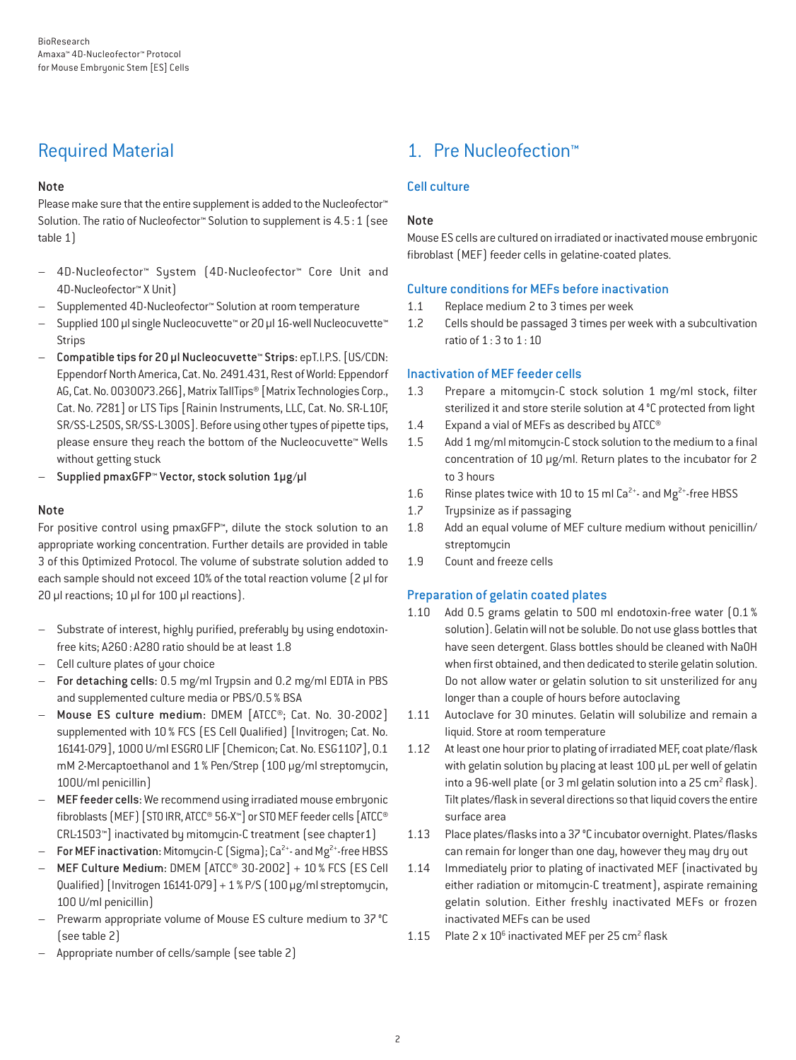## Required Material

#### Note

Please make sure that the entire supplement is added to the Nucleofector<sup>™</sup> Solution. The ratio of Nucleofector™ Solution to supplement is 4.5:1 (see table 1)

- 4D-Nucleofector™ System (4D-Nucleofector™ Core Unit and 4D-Nucleofector™ X Unit)
- Supplemented 4D-Nucleofector™ Solution at room temperature
- Supplied 100 µl single Nucleocuvette™ or 20 µl 16-well Nucleocuvette™ Strips
- Compatible tips for 20 µl Nucleocuvette™ Strips: epT.I.P.S. [US/CDN: Eppendorf North America, Cat. No. 2491.431, Rest of World: Eppendorf AG, Cat. No. 0030073.266], Matrix TallTips® [Matrix Technologies Corp., Cat. No. 7281] or LTS Tips [Rainin Instruments, LLC, Cat. No. SR-L10F, SR/SS-L250S, SR/SS-L300S]. Before using other types of pipette tips, please ensure they reach the bottom of the Nucleocuvette™ Wells without getting stuck
- Supplied pmaxGFP™ Vector, stock solution 1µg/µl

#### Note

For positive control using pmaxGFP™, dilute the stock solution to an appropriate working concentration. Further details are provided in table 3 of this Optimized Protocol. The volume of substrate solution added to each sample should not exceed 10% of the total reaction volume [2 µl for 20 µl reactions; 10 µl for 100 µl reactions).

- Substrate of interest, highly purified, preferably by using endotoxinfree kits; A260: A280 ratio should be at least 1.8
- Cell culture plates of your choice
- For detaching cells: 0.5 mg/ml Trypsin and 0.2 mg/ml EDTA in PBS and supplemented culture media or PBS/0.5% BSA
- Mouse ES culture medium: DMEM [ATCC®; Cat. No. 30-2002] supplemented with 10 % FCS (ES Cell Qualified) [Invitrogen; Cat. No. 16141-079], 1000 U/ml ESGRO LIF [Chemicon; Cat. No. ESG1107], 0.1 mM 2-Mercaptoethanol and 1% Pen/Strep (100 μg/ml streptomycin, 100U/ml penicillin)
- MEF feeder cells: We recommend using irradiated mouse embryonic fibroblasts (MEF) [STO IRR, ATCC® 56-X™] or STO MEF feeder cells [ATCC® CRL-1503™] inactivated by mitomycin-C treatment (see chapter1)
- For MEF inactivation: Mitomycin-C (Sigma); Ca<sup>2+</sup>- and Mg<sup>2+</sup>-free HBSS
- MEF Culture Medium: DMEM [ATCC® 30-2002] + 10 % FCS (ES Cell Qualified) [Invitrogen 16141-079] + 1% P/S (100 μg/ml streptomycin, 100 U/ml penicillin)
- Prewarm appropriate volume of Mouse ES culture medium to 37 °C (see table 2)
- Appropriate number of cells/sample (see table 2)

## 1. Pre Nucleofection™

#### Cell culture

#### Note

Mouse ES cells are cultured on irradiated or inactivated mouse embryonic fibroblast (MEF) feeder cells in gelatine-coated plates.

#### Culture conditions for MEFs before inactivation

- 1.1 Replace medium 2 to 3 times per week
- 1.2 Cells should be passaged 3 times per week with a subcultivation ratio of 1:3 to 1:10

#### Inactivation of MEF feeder cells

- 1.3 Prepare a mitomycin-C stock solution 1 mg/ml stock, filter sterilized it and store sterile solution at 4°C protected from light
- 1.4 Expand a vial of MEFs as described by ATCC<sup>®</sup>
- 1.5 Add 1 mg/ml mitomycin-C stock solution to the medium to a final concentration of 10 μg/ml. Return plates to the incubator for 2 to 3 hours
- 1.6 Rinse plates twice with 10 to 15 ml  $Ca^{2+}$  and  $Mg^{2+}$ -free HBSS
- 1.7 Trypsinize as if passaging
- 1.8 Add an equal volume of MEF culture medium without penicillin/ streptomycin
- 1.9 Count and freeze cells

#### Preparation of gelatin coated plates

- 1.10 Add 0.5 grams gelatin to 500 ml endotoxin-free water (0.1 % solution). Gelatin will not be soluble. Do not use glass bottles that have seen detergent. Glass bottles should be cleaned with NaOH when first obtained, and then dedicated to sterile gelatin solution. Do not allow water or gelatin solution to sit unsterilized for any longer than a couple of hours before autoclaving
- 1.11 Autoclave for 30 minutes. Gelatin will solubilize and remain a liquid. Store at room temperature
- 1.12 At least one hour prior to plating of irradiated MEF, coat plate/flask with gelatin solution by placing at least 100 μL per well of gelatin into a 96-well plate (or 3 ml gelatin solution into a 25 cm<sup>2</sup> flask). Tilt plates/flask in several directions so that liquid covers the entire surface area
- 1.13 Place plates/flasks into a 37°C incubator overnight. Plates/flasks can remain for longer than one day, however they may dry out
- 1.14 Immediately prior to plating of inactivated MEF (inactivated by either radiation or mitomycin-C treatment), aspirate remaining gelatin solution. Either freshly inactivated MEFs or frozen inactivated MEFs can be used
- 1.15 Plate 2 x 10<sup>6</sup> inactivated MEF per 25 cm<sup>2</sup> flask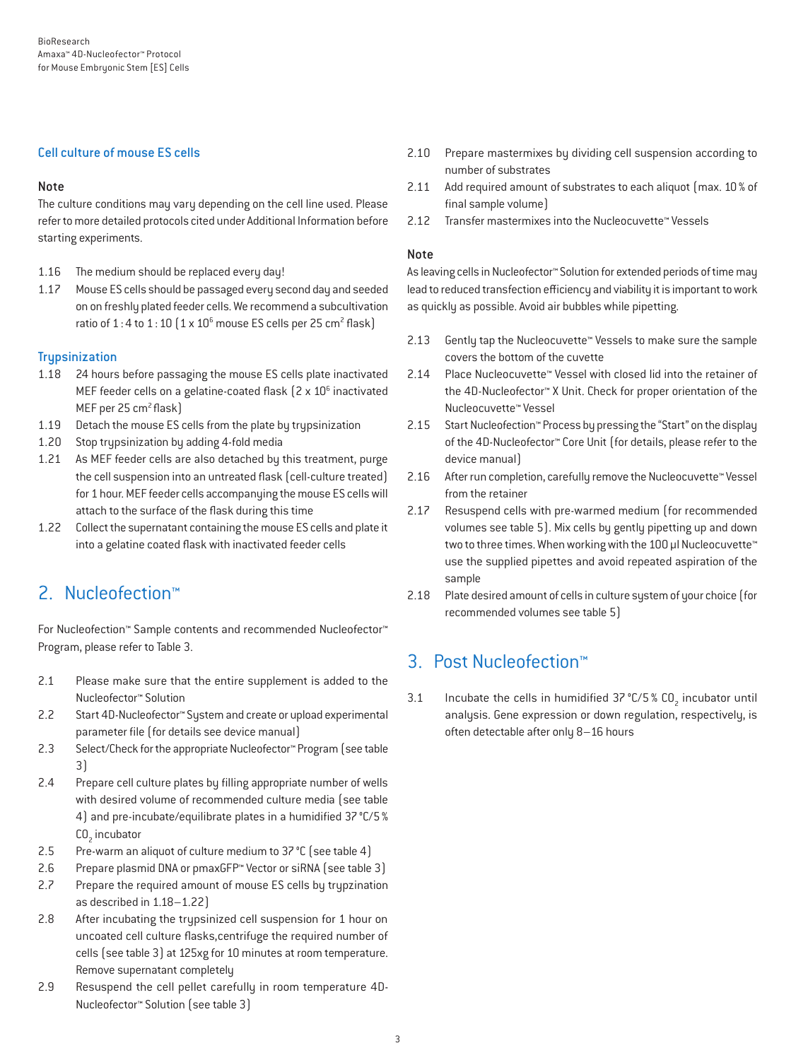#### Cell culture of mouse ES cells

#### Note

The culture conditions may vary depending on the cell line used. Please refer to more detailed protocols cited under Additional Information before starting experiments.

- 1.16 The medium should be replaced every day!
- 1.17 Mouse ES cells should be passaged every second day and seeded on on freshly plated feeder cells. We recommend a subcultivation ratio of  $1:4$  to  $1:10$   $(1 \times 10^6$  mouse ES cells per 25 cm<sup>2</sup> flask)

#### **Trupsinization**

- 1.18 24 hours before passaging the mouse ES cells plate inactivated MEF feeder cells on a gelatine-coated flask  $(2 \times 10^6$  inactivated MEF per 25 cm<sup>2</sup> flask)
- 1.19 Detach the mouse ES cells from the plate by trypsinization
- 1.20 Stop trypsinization by adding 4-fold media
- 1.21 As MEF feeder cells are also detached by this treatment, purge the cell suspension into an untreated flask (cell-culture treated) for 1 hour. MEF feeder cells accompanying the mouse ES cells will attach to the surface of the flask during this time
- 1.22 Collect the supernatant containing the mouse ES cells and plate it into a gelatine coated flask with inactivated feeder cells

## 2. Nucleofection™

For Nucleofection™ Sample contents and recommended Nucleofector™ Program, please refer to Table 3.

- 2.1 Please make sure that the entire supplement is added to the Nucleofector™ Solution
- 2.2 Start 4D-Nucleofector™ System and create or upload experimental parameter file (for details see device manual)
- 2.3 Select/Check for the appropriate Nucleofector™ Program (see table 3)
- 2.4 Prepare cell culture plates by filling appropriate number of wells with desired volume of recommended culture media (see table 4) and pre-incubate/equilibrate plates in a humidified 37°C/5% CO<sub>2</sub> incubator
- 2.5 Pre-warm an aliquot of culture medium to 37 °C (see table 4)
- 2.6 Prepare plasmid DNA or pmaxGFP™ Vector or siRNA (see table 3)
- 2.7 Prepare the required amount of mouse ES cells by trypzination as described in 1.18–1.22)
- 2.8 After incubating the trypsinized cell suspension for 1 hour on uncoated cell culture flasks,centrifuge the required number of cells (see table 3) at 125xg for 10 minutes at room temperature. Remove supernatant completely
- 2.9 Resuspend the cell pellet carefully in room temperature 4D-Nucleofector™ Solution (see table 3)
- 2.10 Prepare mastermixes by dividing cell suspension according to number of substrates
- 2.11 Add required amount of substrates to each aliquot (max. 10 % of final sample volume)
- 2.12 Transfer mastermixes into the Nucleocuvette™ Vessels

#### Note

As leaving cells in Nucleofector™ Solution for extended periods of time may lead to reduced transfection efficiency and viability it is important to work as quickly as possible. Avoid air bubbles while pipetting.

- 2.13 Gently tap the Nucleocuvette™ Vessels to make sure the sample covers the bottom of the cuvette
- 2.14 Place Nucleocuvette™ Vessel with closed lid into the retainer of the 4D-Nucleofector™ X Unit. Check for proper orientation of the Nucleocuvette™ Vessel
- 2.15 Start Nucleofection™ Process by pressing the "Start" on the display of the 4D-Nucleofector™ Core Unit (for details, please refer to the device manual)
- 2.16 After run completion, carefully remove the Nucleocuvette™ Vessel from the retainer
- 2.17 Resuspend cells with pre-warmed medium (for recommended volumes see table 5). Mix cells by gently pipetting up and down two to three times. When working with the 100 µl Nucleocuvette™ use the supplied pipettes and avoid repeated aspiration of the sample
- 2.18 Plate desired amount of cells in culture system of your choice (for recommended volumes see table 5)

## 3. Post Nucleofection™

3.1 Incubate the cells in humidified  $37^{\circ}$ C/5 % CO<sub>2</sub> incubator until analysis. Gene expression or down regulation, respectively, is often detectable after only 8–16 hours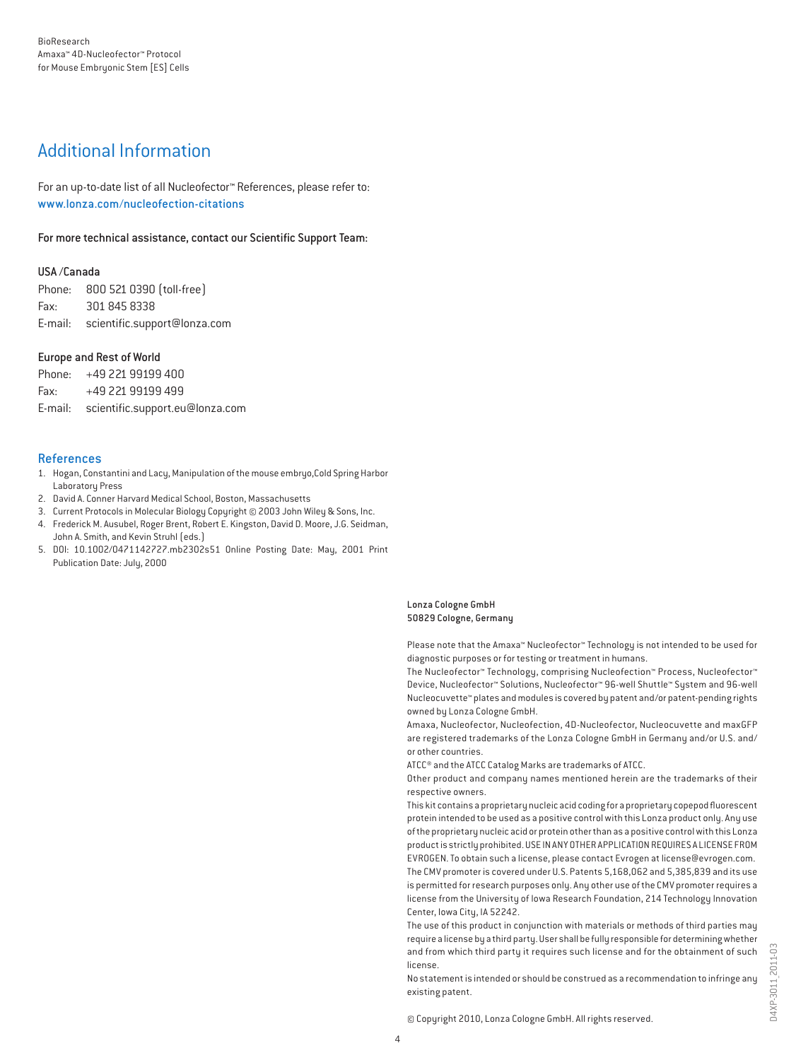## Additional Information

For an up-to-date list of all Nucleofector™ References, please refer to: www.lonza.com/nucleofection-citations

For more technical assistance, contact our Scientific Support Team:

#### USA /Canada

Phone: 800 521 0390 (toll-free) Fax: 301 845 8338 E-mail: scientific.support@lonza.com

#### Europe and Rest of World

Phone: +49 221 99199 400 Fax: +49 221 99199 499 E-mail: scientific.support.eu@lonza.com

#### References

- 1. Hogan, Constantini and Lacy, Manipulation of the mouse embryo,Cold Spring Harbor Laboratory Press
- 2. David A. Conner Harvard Medical School, Boston, Massachusetts
- 3. Current Protocols in Molecular Biology Copyright © 2003 John Wiley & Sons, Inc.
- 4. Frederick M. Ausubel, Roger Brent, Robert E. Kingston, David D. Moore, J.G. Seidman, John A. Smith, and Kevin Struhl (eds.)
- 5. DOI: 10.1002/0471142727.mb2302s51 Online Posting Date: May, 2001 Print Publication Date: July, 2000

Lonza Cologne GmbH 50829 Cologne, Germany

Please note that the Amaxa™ Nucleofector™ Technology is not intended to be used for diagnostic purposes or for testing or treatment in humans.

The Nucleofector™ Technology, comprising Nucleofection™ Process, Nucleofector™ Device, Nucleofector™ Solutions, Nucleofector™ 96-well Shuttle™ System and 96-well Nucleocuvette™ plates and modules is covered by patent and/or patent-pending rights owned by Lonza Cologne GmbH.

Amaxa, Nucleofector, Nucleofection, 4D-Nucleofector, Nucleocuvette and maxGFP are registered trademarks of the Lonza Cologne GmbH in Germany and/or U.S. and/ or other countries.

ATCC® and the ATCC Catalog Marks are trademarks of ATCC.

Other product and company names mentioned herein are the trademarks of their respective owners.

This kit contains a proprietary nucleic acid coding for a proprietary copepod fluorescent protein intended to be used as a positive control with this Lonza product only. Any use of the proprietary nucleic acid or protein other than as a positive control with this Lonza product is strictly prohibited. USE IN ANY OTHER APPLICATION REQUIRES A LICENSE FROM EVROGEN. To obtain such a license, please contact Evrogen at license@evrogen.com. The CMV promoter is covered under U.S. Patents 5,168,062 and 5,385,839 and its use is permitted for research purposes only. Any other use of the CMV promoter requires a license from the University of Iowa Research Foundation, 214 Technology Innovation Center, Iowa City, IA 52242.

The use of this product in conjunction with materials or methods of third parties may require a license by a third party. User shall be fully responsible for determining whether and from which third party it requires such license and for the obtainment of such license.

No statement is intended or should be construed as a recommendation to infringe any existing patent.

© Copyright 2010, Lonza Cologne GmbH. All rights reserved.